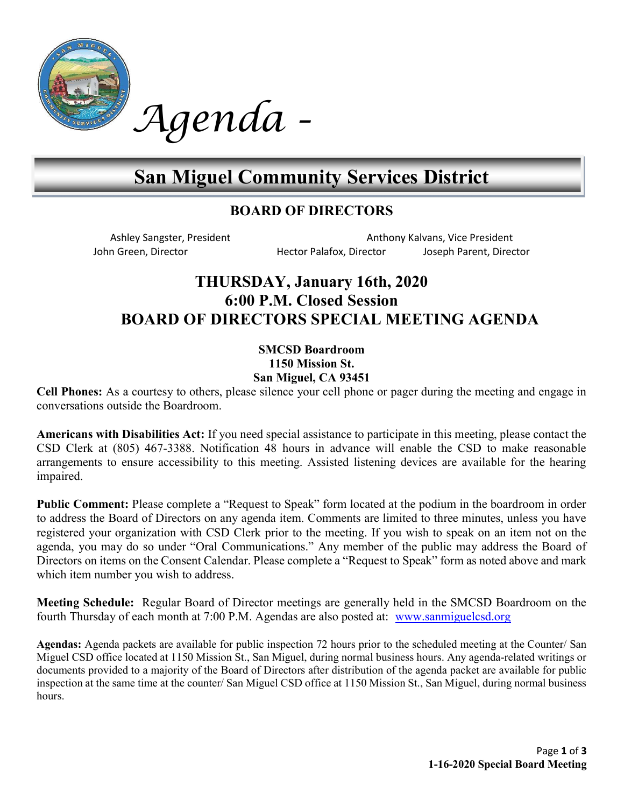

# Agenda -

# San Miguel Community Services District

### BOARD OF DIRECTORS

Ashley Sangster, President Anthony Kalvans, Vice President John Green, Director **Hector Palafox, Director** Joseph Parent, Director

## THURSDAY, January 16th, 2020 6:00 P.M. Closed Session BOARD OF DIRECTORS SPECIAL MEETING AGENDA

#### SMCSD Boardroom 1150 Mission St. San Miguel, CA 93451

Cell Phones: As a courtesy to others, please silence your cell phone or pager during the meeting and engage in conversations outside the Boardroom.

Americans with Disabilities Act: If you need special assistance to participate in this meeting, please contact the CSD Clerk at (805) 467-3388. Notification 48 hours in advance will enable the CSD to make reasonable arrangements to ensure accessibility to this meeting. Assisted listening devices are available for the hearing impaired.

Public Comment: Please complete a "Request to Speak" form located at the podium in the boardroom in order to address the Board of Directors on any agenda item. Comments are limited to three minutes, unless you have registered your organization with CSD Clerk prior to the meeting. If you wish to speak on an item not on the agenda, you may do so under "Oral Communications." Any member of the public may address the Board of Directors on items on the Consent Calendar. Please complete a "Request to Speak" form as noted above and mark which item number you wish to address.

Meeting Schedule: Regular Board of Director meetings are generally held in the SMCSD Boardroom on the fourth Thursday of each month at 7:00 P.M. Agendas are also posted at: www.sanmiguelcsd.org

Agendas: Agenda packets are available for public inspection 72 hours prior to the scheduled meeting at the Counter/ San Miguel CSD office located at 1150 Mission St., San Miguel, during normal business hours. Any agenda-related writings or documents provided to a majority of the Board of Directors after distribution of the agenda packet are available for public inspection at the same time at the counter/ San Miguel CSD office at 1150 Mission St., San Miguel, during normal business hours.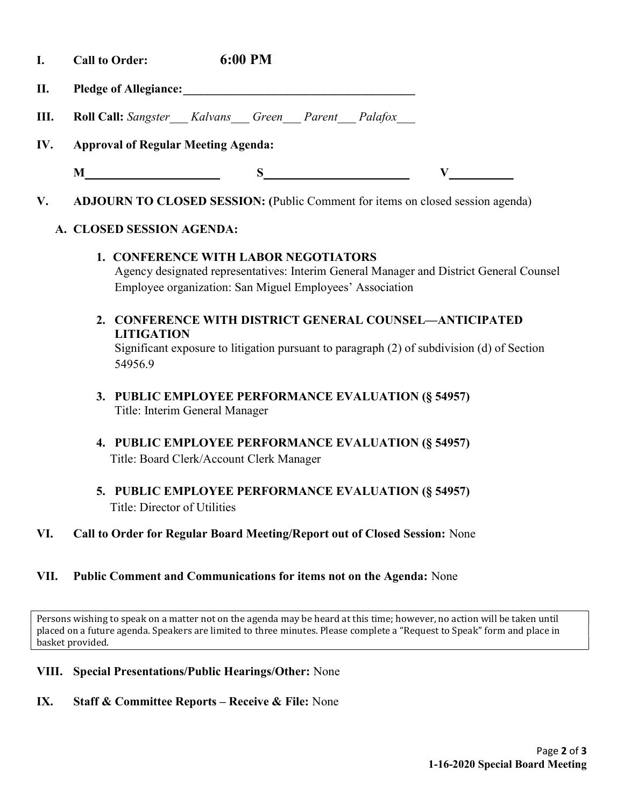- I. Call to Order: 6:00 PM
- II. Pledge of Allegiance: \_\_\_\_\_\_\_\_\_\_\_\_\_\_\_\_\_\_\_\_\_\_\_\_\_\_\_\_\_\_\_\_\_\_\_\_\_\_
- **III.** Roll Call: Sangster Kalvans Green Parent Palafox
- IV. Approval of Regular Meeting Agenda:
	-

 $M_{\sim}$  S V

V. ADJOURN TO CLOSED SESSION: (Public Comment for items on closed session agenda)

#### A. CLOSED SESSION AGENDA:

- 1. CONFERENCE WITH LABOR NEGOTIATORS Agency designated representatives: Interim General Manager and District General Counsel Employee organization: San Miguel Employees' Association
- 2. CONFERENCE WITH DISTRICT GENERAL COUNSEL—ANTICIPATED LITIGATION Significant exposure to litigation pursuant to paragraph (2) of subdivision (d) of Section 54956.9
- 3. PUBLIC EMPLOYEE PERFORMANCE EVALUATION (§ 54957) Title: Interim General Manager
- 4. PUBLIC EMPLOYEE PERFORMANCE EVALUATION (§ 54957) Title: Board Clerk/Account Clerk Manager
- 5. PUBLIC EMPLOYEE PERFORMANCE EVALUATION (§ 54957) Title: Director of Utilities
- VI. Call to Order for Regular Board Meeting/Report out of Closed Session: None

#### VII. Public Comment and Communications for items not on the Agenda: None

Persons wishing to speak on a matter not on the agenda may be heard at this time; however, no action will be taken until placed on a future agenda. Speakers are limited to three minutes. Please complete a "Request to Speak" form and place in basket provided.

- VIII. Special Presentations/Public Hearings/Other: None
- IX. Staff & Committee Reports Receive & File: None